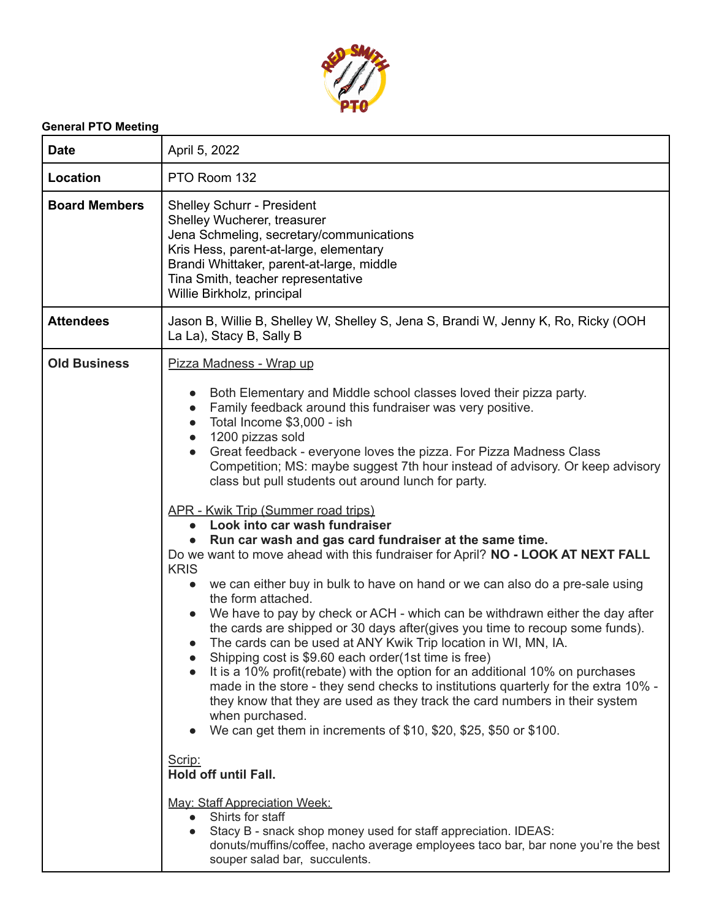

## **General PTO Meeting**

| <b>Date</b>          | April 5, 2022                                                                                                                                                                                                                                                                                                                                                                                                                                                                                                                                                                                                                                                                                                                                                                                                                                                                                                                                                                                                                                                                                                                                                                                                                                                                                                                                                                                                                                                                                                                                                                                                                                                                                        |
|----------------------|------------------------------------------------------------------------------------------------------------------------------------------------------------------------------------------------------------------------------------------------------------------------------------------------------------------------------------------------------------------------------------------------------------------------------------------------------------------------------------------------------------------------------------------------------------------------------------------------------------------------------------------------------------------------------------------------------------------------------------------------------------------------------------------------------------------------------------------------------------------------------------------------------------------------------------------------------------------------------------------------------------------------------------------------------------------------------------------------------------------------------------------------------------------------------------------------------------------------------------------------------------------------------------------------------------------------------------------------------------------------------------------------------------------------------------------------------------------------------------------------------------------------------------------------------------------------------------------------------------------------------------------------------------------------------------------------------|
| Location             | PTO Room 132                                                                                                                                                                                                                                                                                                                                                                                                                                                                                                                                                                                                                                                                                                                                                                                                                                                                                                                                                                                                                                                                                                                                                                                                                                                                                                                                                                                                                                                                                                                                                                                                                                                                                         |
| <b>Board Members</b> | <b>Shelley Schurr - President</b><br>Shelley Wucherer, treasurer<br>Jena Schmeling, secretary/communications<br>Kris Hess, parent-at-large, elementary<br>Brandi Whittaker, parent-at-large, middle<br>Tina Smith, teacher representative<br>Willie Birkholz, principal                                                                                                                                                                                                                                                                                                                                                                                                                                                                                                                                                                                                                                                                                                                                                                                                                                                                                                                                                                                                                                                                                                                                                                                                                                                                                                                                                                                                                              |
| <b>Attendees</b>     | Jason B, Willie B, Shelley W, Shelley S, Jena S, Brandi W, Jenny K, Ro, Ricky (OOH<br>La La), Stacy B, Sally B                                                                                                                                                                                                                                                                                                                                                                                                                                                                                                                                                                                                                                                                                                                                                                                                                                                                                                                                                                                                                                                                                                                                                                                                                                                                                                                                                                                                                                                                                                                                                                                       |
| <b>Old Business</b>  | Pizza Madness - Wrap up<br>Both Elementary and Middle school classes loved their pizza party.<br>Family feedback around this fundraiser was very positive.<br>Total Income \$3,000 - ish<br>$\bullet$<br>1200 pizzas sold<br>$\bullet$<br>Great feedback - everyone loves the pizza. For Pizza Madness Class<br>Competition; MS: maybe suggest 7th hour instead of advisory. Or keep advisory<br>class but pull students out around lunch for party.<br>APR - Kwik Trip (Summer road trips)<br>Look into car wash fundraiser<br>Run car wash and gas card fundraiser at the same time.<br>Do we want to move ahead with this fundraiser for April? NO - LOOK AT NEXT FALL<br><b>KRIS</b><br>we can either buy in bulk to have on hand or we can also do a pre-sale using<br>the form attached.<br>We have to pay by check or ACH - which can be withdrawn either the day after<br>the cards are shipped or 30 days after (gives you time to recoup some funds).<br>The cards can be used at ANY Kwik Trip location in WI, MN, IA.<br>Shipping cost is \$9.60 each order(1st time is free)<br>It is a 10% profit (rebate) with the option for an additional 10% on purchases<br>made in the store - they send checks to institutions quarterly for the extra 10% -<br>they know that they are used as they track the card numbers in their system<br>when purchased.<br>We can get them in increments of \$10, \$20, \$25, \$50 or \$100.<br>Scrip:<br><b>Hold off until Fall.</b><br><b>May: Staff Appreciation Week:</b><br>Shirts for staff<br>Stacy B - snack shop money used for staff appreciation. IDEAS:<br>donuts/muffins/coffee, nacho average employees taco bar, bar none you're the best |

souper salad bar, succulents.